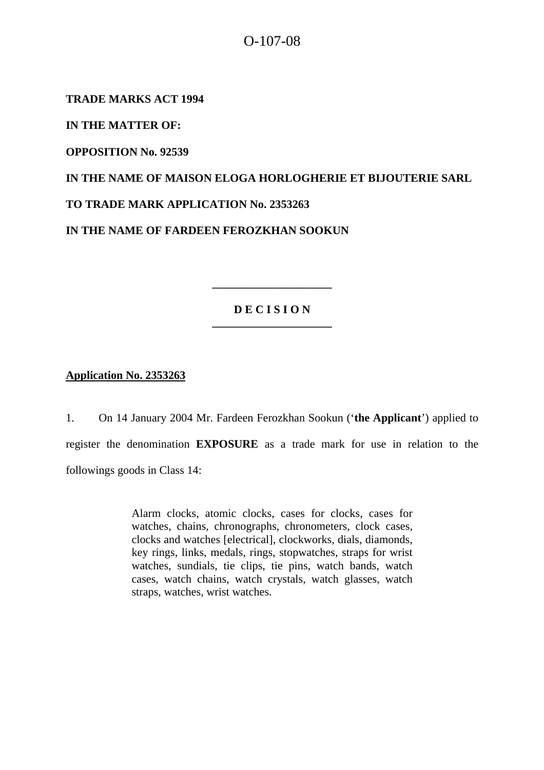# O-107-08

**TRADE MARKS ACT 1994** 

**IN THE MATTER OF:** 

**OPPOSITION No. 92539** 

**IN THE NAME OF MAISON ELOGA HORLOGHERIE ET BIJOUTERIE SARL TO TRADE MARK APPLICATION No. 2353263** 

**IN THE NAME OF FARDEEN FEROZKHAN SOOKUN** 

## **D E C I S I O N \_\_\_\_\_\_\_\_\_\_\_\_\_\_\_\_\_\_\_\_\_**

**\_\_\_\_\_\_\_\_\_\_\_\_\_\_\_\_\_\_\_\_\_** 

**Application No. 2353263**

1. On 14 January 2004 Mr. Fardeen Ferozkhan Sookun ('**the Applicant**') applied to register the denomination **EXPOSURE** as a trade mark for use in relation to the followings goods in Class 14:

> Alarm clocks, atomic clocks, cases for clocks, cases for watches, chains, chronographs, chronometers, clock cases, clocks and watches [electrical], clockworks, dials, diamonds, key rings, links, medals, rings, stopwatches, straps for wrist watches, sundials, tie clips, tie pins, watch bands, watch cases, watch chains, watch crystals, watch glasses, watch straps, watches, wrist watches.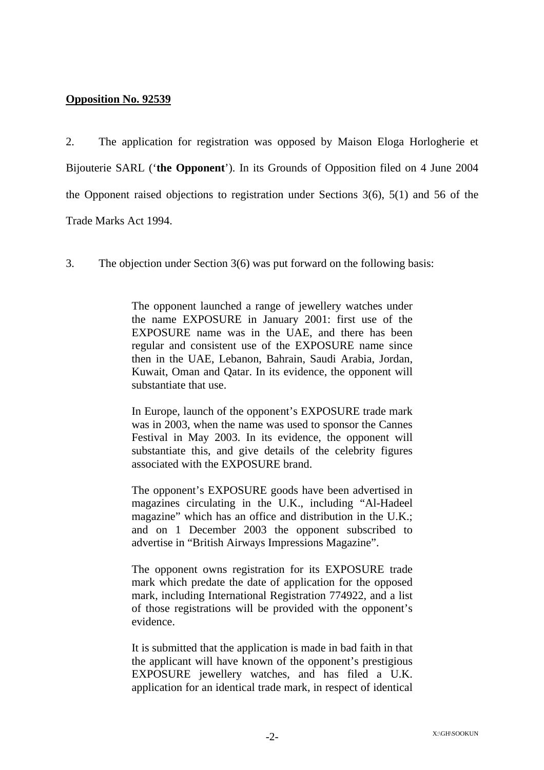#### **Opposition No. 92539**

2. The application for registration was opposed by Maison Eloga Horlogherie et Bijouterie SARL ('**the Opponent**'). In its Grounds of Opposition filed on 4 June 2004 the Opponent raised objections to registration under Sections 3(6), 5(1) and 56 of the Trade Marks Act 1994.

3. The objection under Section 3(6) was put forward on the following basis:

The opponent launched a range of jewellery watches under the name EXPOSURE in January 2001: first use of the EXPOSURE name was in the UAE, and there has been regular and consistent use of the EXPOSURE name since then in the UAE, Lebanon, Bahrain, Saudi Arabia, Jordan, Kuwait, Oman and Qatar. In its evidence, the opponent will substantiate that use.

In Europe, launch of the opponent's EXPOSURE trade mark was in 2003, when the name was used to sponsor the Cannes Festival in May 2003. In its evidence, the opponent will substantiate this, and give details of the celebrity figures associated with the EXPOSURE brand.

The opponent's EXPOSURE goods have been advertised in magazines circulating in the U.K., including "Al-Hadeel magazine" which has an office and distribution in the U.K.; and on 1 December 2003 the opponent subscribed to advertise in "British Airways Impressions Magazine".

The opponent owns registration for its EXPOSURE trade mark which predate the date of application for the opposed mark, including International Registration 774922, and a list of those registrations will be provided with the opponent's evidence.

It is submitted that the application is made in bad faith in that the applicant will have known of the opponent's prestigious EXPOSURE jewellery watches, and has filed a U.K. application for an identical trade mark, in respect of identical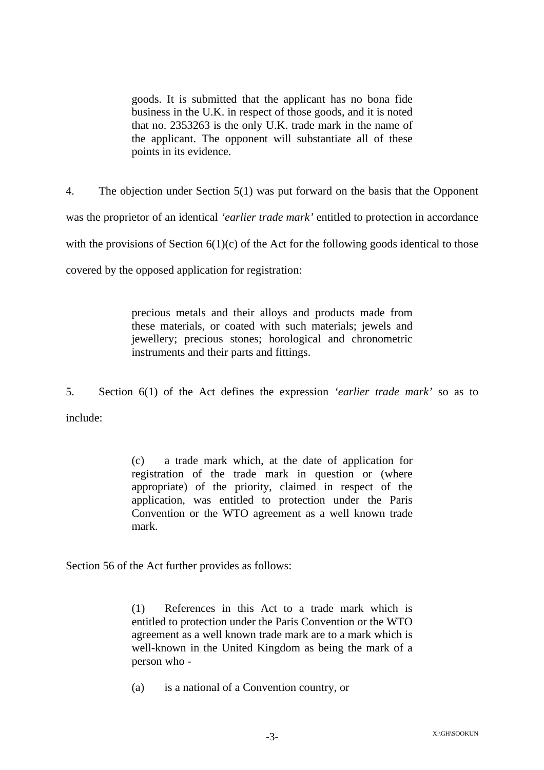goods. It is submitted that the applicant has no bona fide business in the U.K. in respect of those goods, and it is noted that no. 2353263 is the only U.K. trade mark in the name of the applicant. The opponent will substantiate all of these points in its evidence.

4. The objection under Section 5(1) was put forward on the basis that the Opponent was the proprietor of an identical *'earlier trade mark'* entitled to protection in accordance with the provisions of Section  $6(1)(c)$  of the Act for the following goods identical to those covered by the opposed application for registration:

> precious metals and their alloys and products made from these materials, or coated with such materials; jewels and jewellery; precious stones; horological and chronometric instruments and their parts and fittings.

5. Section 6(1) of the Act defines the expression *'earlier trade mark'* so as to include:

> (c) a trade mark which, at the date of application for registration of the trade mark in question or (where appropriate) of the priority, claimed in respect of the application, was entitled to protection under the Paris Convention or the WTO agreement as a well known trade mark.

Section 56 of the Act further provides as follows:

(1) References in this Act to a trade mark which is entitled to protection under the Paris Convention or the WTO agreement as a well known trade mark are to a mark which is well-known in the United Kingdom as being the mark of a person who -

(a) is a national of a Convention country, or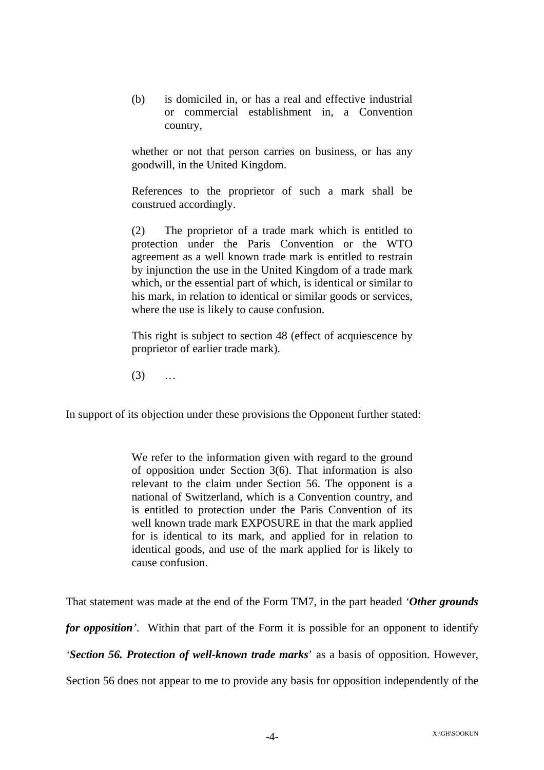(b) is domiciled in, or has a real and effective industrial or commercial establishment in, a Convention country,

whether or not that person carries on business, or has any goodwill, in the United Kingdom.

References to the proprietor of such a mark shall be construed accordingly.

(2) The proprietor of a trade mark which is entitled to protection under the Paris Convention or the WTO agreement as a well known trade mark is entitled to restrain by injunction the use in the United Kingdom of a trade mark which, or the essential part of which, is identical or similar to his mark, in relation to identical or similar goods or services, where the use is likely to cause confusion.

This right is subject to section 48 (effect of acquiescence by proprietor of earlier trade mark).

 $(3)$  ...

In support of its objection under these provisions the Opponent further stated:

We refer to the information given with regard to the ground of opposition under Section 3(6). That information is also relevant to the claim under Section 56. The opponent is a national of Switzerland, which is a Convention country, and is entitled to protection under the Paris Convention of its well known trade mark EXPOSURE in that the mark applied for is identical to its mark, and applied for in relation to identical goods, and use of the mark applied for is likely to cause confusion.

That statement was made at the end of the Form TM7, in the part headed *'Other grounds for opposition'*. Within that part of the Form it is possible for an opponent to identify *'Section 56. Protection of well-known trade marks*' as a basis of opposition. However, Section 56 does not appear to me to provide any basis for opposition independently of the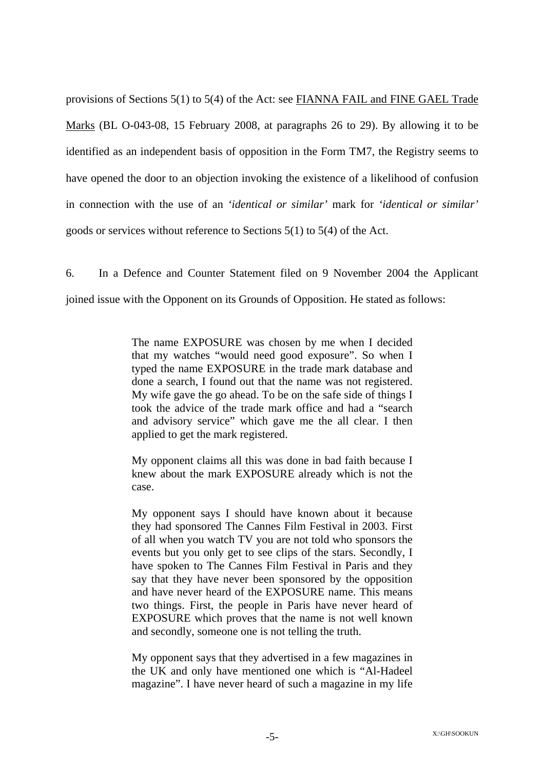provisions of Sections 5(1) to 5(4) of the Act: see FIANNA FAIL and FINE GAEL Trade Marks (BL O-043-08, 15 February 2008, at paragraphs 26 to 29). By allowing it to be identified as an independent basis of opposition in the Form TM7, the Registry seems to have opened the door to an objection invoking the existence of a likelihood of confusion in connection with the use of an *'identical or similar'* mark for *'identical or similar'*  goods or services without reference to Sections 5(1) to 5(4) of the Act.

6. In a Defence and Counter Statement filed on 9 November 2004 the Applicant joined issue with the Opponent on its Grounds of Opposition. He stated as follows:

> The name EXPOSURE was chosen by me when I decided that my watches "would need good exposure". So when I typed the name EXPOSURE in the trade mark database and done a search, I found out that the name was not registered. My wife gave the go ahead. To be on the safe side of things I took the advice of the trade mark office and had a "search and advisory service" which gave me the all clear. I then applied to get the mark registered.

> My opponent claims all this was done in bad faith because I knew about the mark EXPOSURE already which is not the case.

> My opponent says I should have known about it because they had sponsored The Cannes Film Festival in 2003. First of all when you watch TV you are not told who sponsors the events but you only get to see clips of the stars. Secondly, I have spoken to The Cannes Film Festival in Paris and they say that they have never been sponsored by the opposition and have never heard of the EXPOSURE name. This means two things. First, the people in Paris have never heard of EXPOSURE which proves that the name is not well known and secondly, someone one is not telling the truth.

> My opponent says that they advertised in a few magazines in the UK and only have mentioned one which is "Al-Hadeel magazine". I have never heard of such a magazine in my life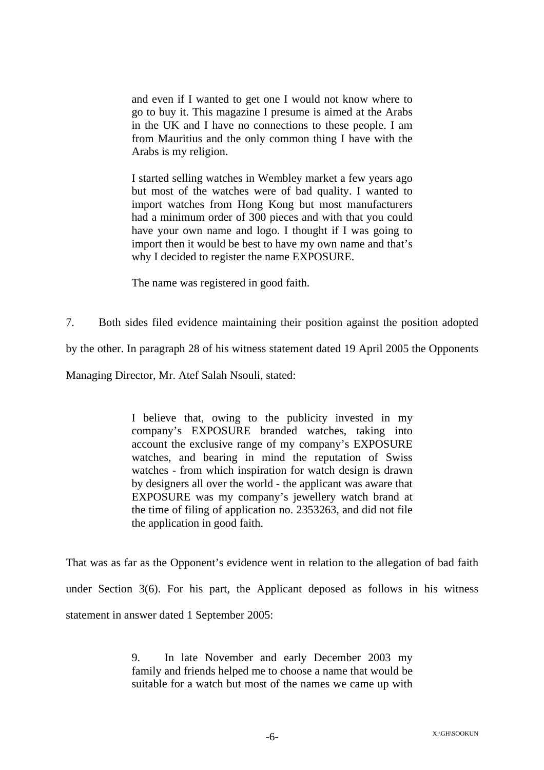and even if I wanted to get one I would not know where to go to buy it. This magazine I presume is aimed at the Arabs in the UK and I have no connections to these people. I am from Mauritius and the only common thing I have with the Arabs is my religion.

I started selling watches in Wembley market a few years ago but most of the watches were of bad quality. I wanted to import watches from Hong Kong but most manufacturers had a minimum order of 300 pieces and with that you could have your own name and logo. I thought if I was going to import then it would be best to have my own name and that's why I decided to register the name EXPOSURE.

The name was registered in good faith.

7. Both sides filed evidence maintaining their position against the position adopted by the other. In paragraph 28 of his witness statement dated 19 April 2005 the Opponents

Managing Director, Mr. Atef Salah Nsouli, stated:

I believe that, owing to the publicity invested in my company's EXPOSURE branded watches, taking into account the exclusive range of my company's EXPOSURE watches, and bearing in mind the reputation of Swiss watches - from which inspiration for watch design is drawn by designers all over the world - the applicant was aware that EXPOSURE was my company's jewellery watch brand at the time of filing of application no. 2353263, and did not file the application in good faith.

That was as far as the Opponent's evidence went in relation to the allegation of bad faith under Section 3(6). For his part, the Applicant deposed as follows in his witness statement in answer dated 1 September 2005:

> 9. In late November and early December 2003 my family and friends helped me to choose a name that would be suitable for a watch but most of the names we came up with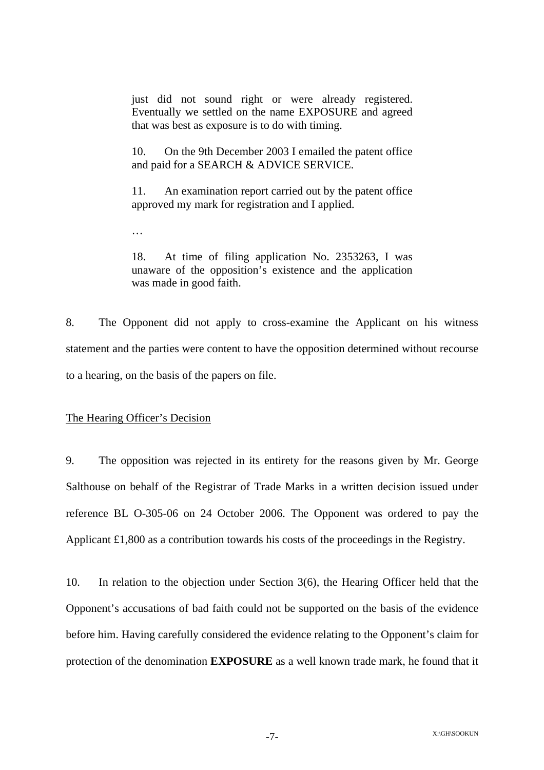just did not sound right or were already registered. Eventually we settled on the name EXPOSURE and agreed that was best as exposure is to do with timing.

10. On the 9th December 2003 I emailed the patent office and paid for a SEARCH & ADVICE SERVICE.

11. An examination report carried out by the patent office approved my mark for registration and I applied.

…

18. At time of filing application No. 2353263, I was unaware of the opposition's existence and the application was made in good faith.

8. The Opponent did not apply to cross-examine the Applicant on his witness statement and the parties were content to have the opposition determined without recourse to a hearing, on the basis of the papers on file.

The Hearing Officer's Decision

9. The opposition was rejected in its entirety for the reasons given by Mr. George Salthouse on behalf of the Registrar of Trade Marks in a written decision issued under reference BL O-305-06 on 24 October 2006. The Opponent was ordered to pay the Applicant £1,800 as a contribution towards his costs of the proceedings in the Registry.

10. In relation to the objection under Section 3(6), the Hearing Officer held that the Opponent's accusations of bad faith could not be supported on the basis of the evidence before him. Having carefully considered the evidence relating to the Opponent's claim for protection of the denomination **EXPOSURE** as a well known trade mark, he found that it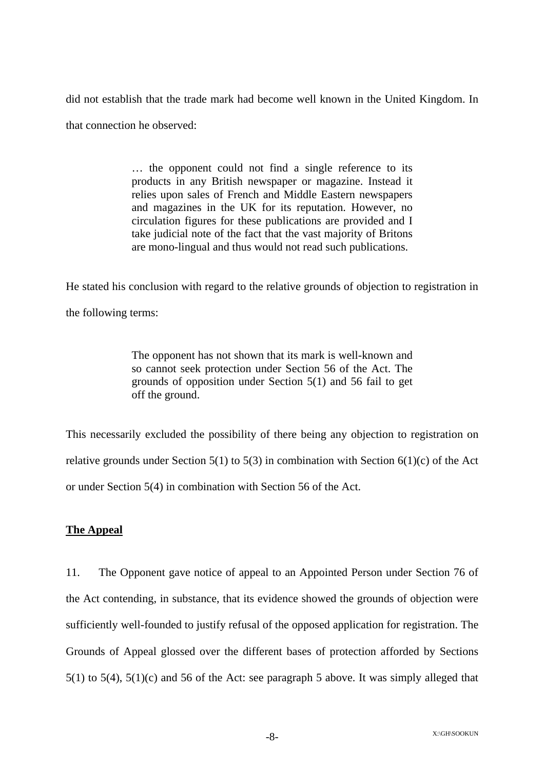did not establish that the trade mark had become well known in the United Kingdom. In that connection he observed:

> … the opponent could not find a single reference to its products in any British newspaper or magazine. Instead it relies upon sales of French and Middle Eastern newspapers and magazines in the UK for its reputation. However, no circulation figures for these publications are provided and I take judicial note of the fact that the vast majority of Britons are mono-lingual and thus would not read such publications.

He stated his conclusion with regard to the relative grounds of objection to registration in the following terms:

> The opponent has not shown that its mark is well-known and so cannot seek protection under Section 56 of the Act. The grounds of opposition under Section 5(1) and 56 fail to get off the ground.

This necessarily excluded the possibility of there being any objection to registration on relative grounds under Section 5(1) to 5(3) in combination with Section 6(1)(c) of the Act or under Section 5(4) in combination with Section 56 of the Act.

## **The Appeal**

11. The Opponent gave notice of appeal to an Appointed Person under Section 76 of the Act contending, in substance, that its evidence showed the grounds of objection were sufficiently well-founded to justify refusal of the opposed application for registration. The Grounds of Appeal glossed over the different bases of protection afforded by Sections 5(1) to 5(4), 5(1)(c) and 56 of the Act: see paragraph 5 above. It was simply alleged that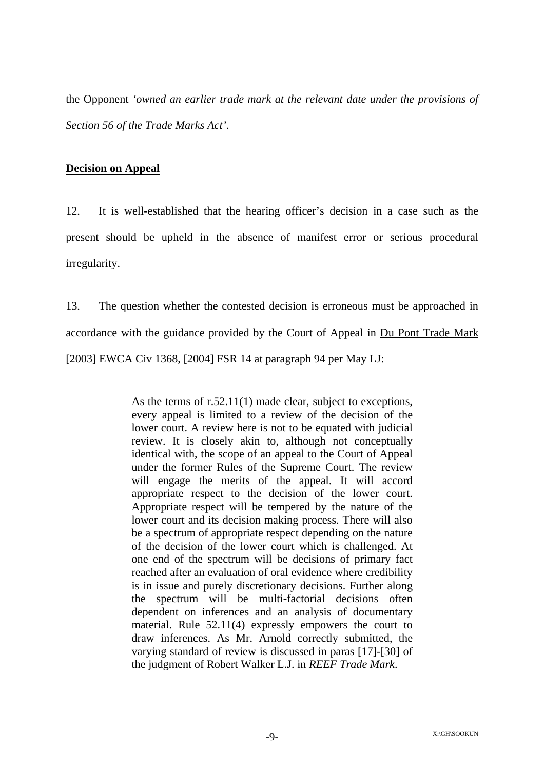the Opponent *'owned an earlier trade mark at the relevant date under the provisions of Section 56 of the Trade Marks Act'*.

#### **Decision on Appeal**

12. It is well-established that the hearing officer's decision in a case such as the present should be upheld in the absence of manifest error or serious procedural irregularity.

13. The question whether the contested decision is erroneous must be approached in accordance with the guidance provided by the Court of Appeal in Du Pont Trade Mark [2003] EWCA Civ 1368, [2004] FSR 14 at paragraph 94 per May LJ:

> As the terms of r.52.11(1) made clear, subject to exceptions, every appeal is limited to a review of the decision of the lower court. A review here is not to be equated with judicial review. It is closely akin to, although not conceptually identical with, the scope of an appeal to the Court of Appeal under the former Rules of the Supreme Court. The review will engage the merits of the appeal. It will accord appropriate respect to the decision of the lower court. Appropriate respect will be tempered by the nature of the lower court and its decision making process. There will also be a spectrum of appropriate respect depending on the nature of the decision of the lower court which is challenged. At one end of the spectrum will be decisions of primary fact reached after an evaluation of oral evidence where credibility is in issue and purely discretionary decisions. Further along the spectrum will be multi-factorial decisions often dependent on inferences and an analysis of documentary material. Rule 52.11(4) expressly empowers the court to draw inferences. As Mr. Arnold correctly submitted, the varying standard of review is discussed in paras [17]-[30] of the judgment of Robert Walker L.J. in *REEF Trade Mark*.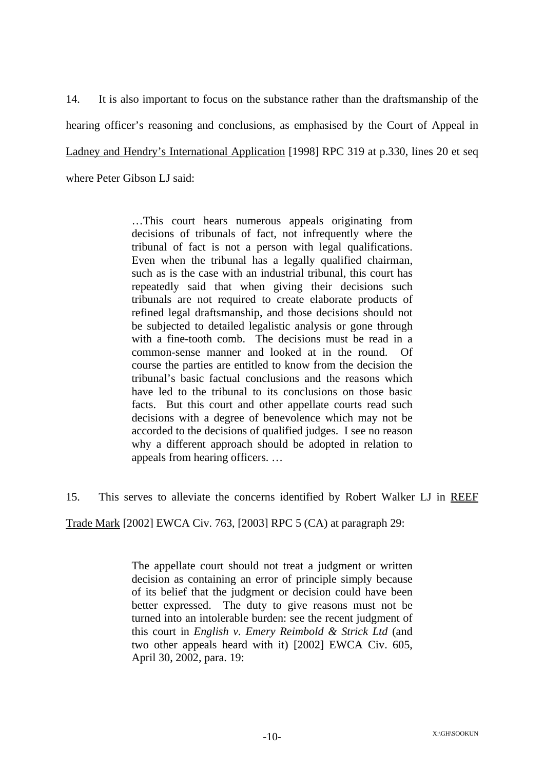14. It is also important to focus on the substance rather than the draftsmanship of the hearing officer's reasoning and conclusions, as emphasised by the Court of Appeal in Ladney and Hendry's International Application [1998] RPC 319 at p.330, lines 20 et seq where Peter Gibson LJ said:

> …This court hears numerous appeals originating from decisions of tribunals of fact, not infrequently where the tribunal of fact is not a person with legal qualifications. Even when the tribunal has a legally qualified chairman, such as is the case with an industrial tribunal, this court has repeatedly said that when giving their decisions such tribunals are not required to create elaborate products of refined legal draftsmanship, and those decisions should not be subjected to detailed legalistic analysis or gone through with a fine-tooth comb. The decisions must be read in a common-sense manner and looked at in the round. Of course the parties are entitled to know from the decision the tribunal's basic factual conclusions and the reasons which have led to the tribunal to its conclusions on those basic facts. But this court and other appellate courts read such decisions with a degree of benevolence which may not be accorded to the decisions of qualified judges. I see no reason why a different approach should be adopted in relation to appeals from hearing officers. …

15. This serves to alleviate the concerns identified by Robert Walker LJ in REEF

Trade Mark [2002] EWCA Civ. 763, [2003] RPC 5 (CA) at paragraph 29:

The appellate court should not treat a judgment or written decision as containing an error of principle simply because of its belief that the judgment or decision could have been better expressed. The duty to give reasons must not be turned into an intolerable burden: see the recent judgment of this court in *English v. Emery Reimbold & Strick Ltd* (and two other appeals heard with it) [2002] EWCA Civ. 605, April 30, 2002, para. 19: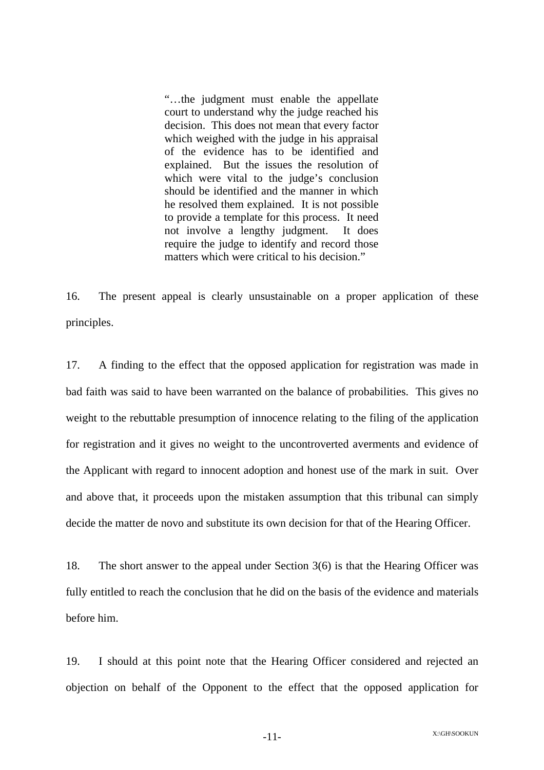"…the judgment must enable the appellate court to understand why the judge reached his decision. This does not mean that every factor which weighed with the judge in his appraisal of the evidence has to be identified and explained. But the issues the resolution of which were vital to the judge's conclusion should be identified and the manner in which he resolved them explained. It is not possible to provide a template for this process. It need not involve a lengthy judgment. It does require the judge to identify and record those matters which were critical to his decision."

16. The present appeal is clearly unsustainable on a proper application of these principles.

17. A finding to the effect that the opposed application for registration was made in bad faith was said to have been warranted on the balance of probabilities. This gives no weight to the rebuttable presumption of innocence relating to the filing of the application for registration and it gives no weight to the uncontroverted averments and evidence of the Applicant with regard to innocent adoption and honest use of the mark in suit. Over and above that, it proceeds upon the mistaken assumption that this tribunal can simply decide the matter de novo and substitute its own decision for that of the Hearing Officer.

18. The short answer to the appeal under Section 3(6) is that the Hearing Officer was fully entitled to reach the conclusion that he did on the basis of the evidence and materials before him.

19. I should at this point note that the Hearing Officer considered and rejected an objection on behalf of the Opponent to the effect that the opposed application for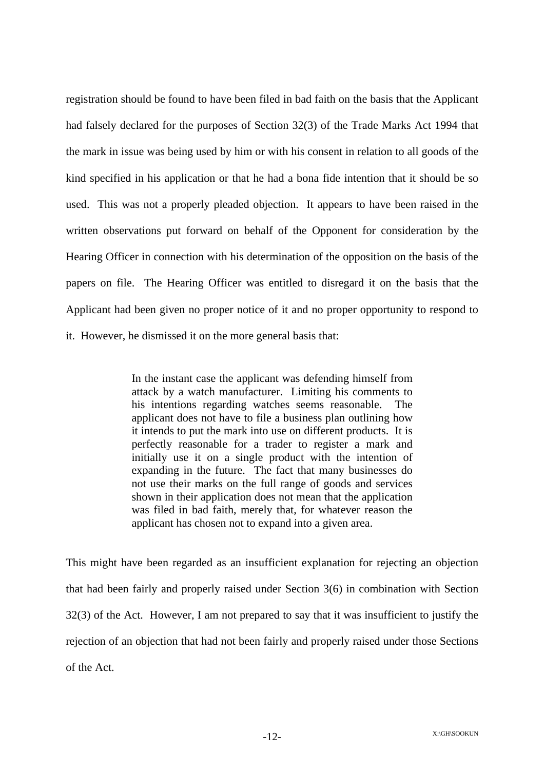registration should be found to have been filed in bad faith on the basis that the Applicant had falsely declared for the purposes of Section 32(3) of the Trade Marks Act 1994 that the mark in issue was being used by him or with his consent in relation to all goods of the kind specified in his application or that he had a bona fide intention that it should be so used. This was not a properly pleaded objection. It appears to have been raised in the written observations put forward on behalf of the Opponent for consideration by the Hearing Officer in connection with his determination of the opposition on the basis of the papers on file. The Hearing Officer was entitled to disregard it on the basis that the Applicant had been given no proper notice of it and no proper opportunity to respond to it. However, he dismissed it on the more general basis that:

> In the instant case the applicant was defending himself from attack by a watch manufacturer. Limiting his comments to his intentions regarding watches seems reasonable. The applicant does not have to file a business plan outlining how it intends to put the mark into use on different products. It is perfectly reasonable for a trader to register a mark and initially use it on a single product with the intention of expanding in the future. The fact that many businesses do not use their marks on the full range of goods and services shown in their application does not mean that the application was filed in bad faith, merely that, for whatever reason the applicant has chosen not to expand into a given area.

This might have been regarded as an insufficient explanation for rejecting an objection that had been fairly and properly raised under Section 3(6) in combination with Section 32(3) of the Act. However, I am not prepared to say that it was insufficient to justify the rejection of an objection that had not been fairly and properly raised under those Sections of the Act.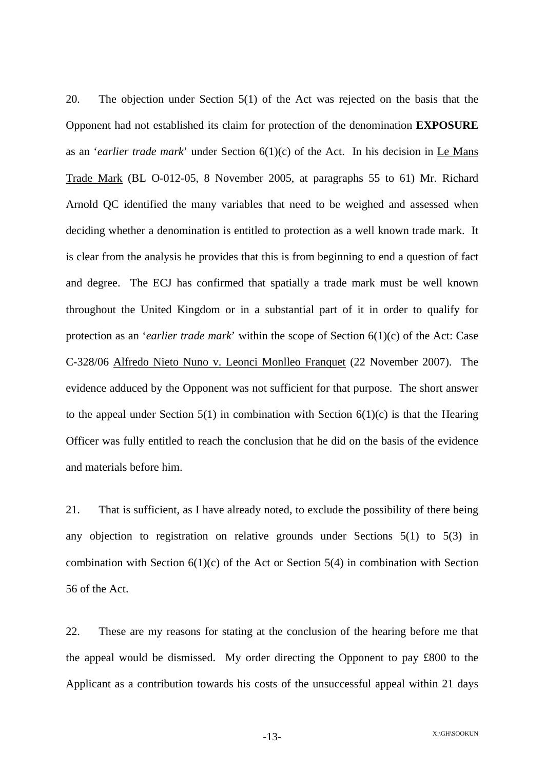20. The objection under Section 5(1) of the Act was rejected on the basis that the Opponent had not established its claim for protection of the denomination **EXPOSURE** as an '*earlier trade mark*' under Section 6(1)(c) of the Act. In his decision in Le Mans Trade Mark (BL O-012-05, 8 November 2005, at paragraphs 55 to 61) Mr. Richard Arnold QC identified the many variables that need to be weighed and assessed when deciding whether a denomination is entitled to protection as a well known trade mark. It is clear from the analysis he provides that this is from beginning to end a question of fact and degree. The ECJ has confirmed that spatially a trade mark must be well known throughout the United Kingdom or in a substantial part of it in order to qualify for protection as an '*earlier trade mark*' within the scope of Section 6(1)(c) of the Act: Case C-328/06 Alfredo Nieto Nuno v. Leonci Monlleo Franquet (22 November 2007). The evidence adduced by the Opponent was not sufficient for that purpose. The short answer to the appeal under Section  $5(1)$  in combination with Section  $6(1)(c)$  is that the Hearing Officer was fully entitled to reach the conclusion that he did on the basis of the evidence and materials before him.

21. That is sufficient, as I have already noted, to exclude the possibility of there being any objection to registration on relative grounds under Sections 5(1) to 5(3) in combination with Section  $6(1)(c)$  of the Act or Section 5(4) in combination with Section 56 of the Act.

22. These are my reasons for stating at the conclusion of the hearing before me that the appeal would be dismissed. My order directing the Opponent to pay £800 to the Applicant as a contribution towards his costs of the unsuccessful appeal within 21 days